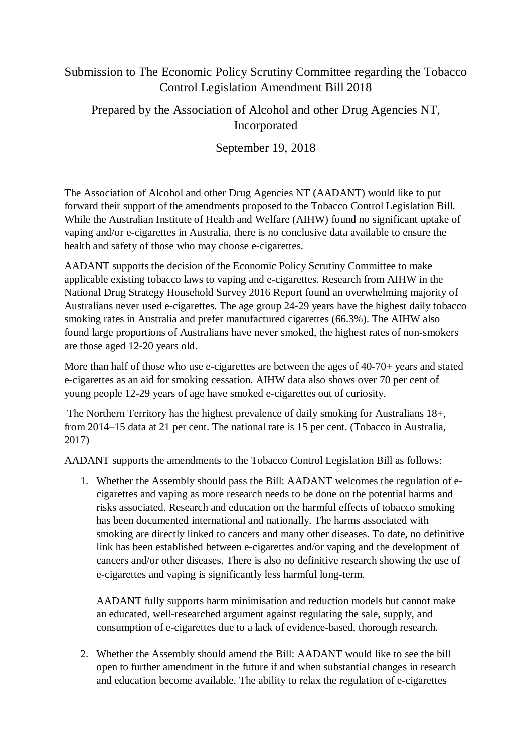## Submission to The Economic Policy Scrutiny Committee regarding the Tobacco Control Legislation Amendment Bill 2018

## Prepared by the Association of Alcohol and other Drug Agencies NT, Incorporated

September 19, 2018

The Association of Alcohol and other Drug Agencies NT (AADANT) would like to put forward their support of the amendments proposed to the Tobacco Control Legislation Bill. While the Australian Institute of Health and Welfare (AIHW) found no significant uptake of vaping and/or e-cigarettes in Australia, there is no conclusive data available to ensure the health and safety of those who may choose e-cigarettes.

AADANT supports the decision of the Economic Policy Scrutiny Committee to make applicable existing tobacco laws to vaping and e-cigarettes. Research from AIHW in the National Drug Strategy Household Survey 2016 Report found an overwhelming majority of Australians never used e-cigarettes. The age group 24-29 years have the highest daily tobacco smoking rates in Australia and prefer manufactured cigarettes (66.3%). The AIHW also found large proportions of Australians have never smoked, the highest rates of non-smokers are those aged 12-20 years old.

More than half of those who use e-cigarettes are between the ages of 40-70+ years and stated e-cigarettes as an aid for smoking cessation. AIHW data also shows over 70 per cent of young people 12-29 years of age have smoked e-cigarettes out of curiosity.

The Northern Territory has the highest prevalence of daily smoking for Australians 18+, from 2014–15 data at 21 per cent. The national rate is 15 per cent. (Tobacco in Australia, 2017)

AADANT supports the amendments to the Tobacco Control Legislation Bill as follows:

1. Whether the Assembly should pass the Bill: AADANT welcomes the regulation of ecigarettes and vaping as more research needs to be done on the potential harms and risks associated. Research and education on the harmful effects of tobacco smoking has been documented international and nationally. The harms associated with smoking are directly linked to cancers and many other diseases. To date, no definitive link has been established between e-cigarettes and/or vaping and the development of cancers and/or other diseases. There is also no definitive research showing the use of e-cigarettes and vaping is significantly less harmful long-term.

AADANT fully supports harm minimisation and reduction models but cannot make an educated, well-researched argument against regulating the sale, supply, and consumption of e-cigarettes due to a lack of evidence-based, thorough research.

2. Whether the Assembly should amend the Bill: AADANT would like to see the bill open to further amendment in the future if and when substantial changes in research and education become available. The ability to relax the regulation of e-cigarettes